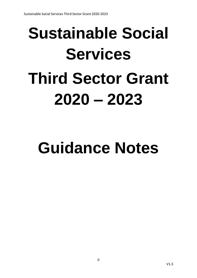# **Sustainable Social Services Third Sector Grant 2020 – 2023**

# **Guidance Notes**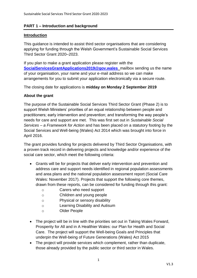# **PART 1 – Introduction and background**

# **Introduction**

This guidance is intended to assist third sector organisations that are considering applying for funding through the Welsh Government's Sustainable Social Services Third Sector Grant 2020–2023.

If you plan to make a grant application please register with the **[SocialServicesGrantApplications2019@gov.wales](mailto:SocialServicesGrantApplications2019@gov.wales)** mailbox sending us the name of your organisation, your name and your e-mail address so we can make arrangements for you to submit your application electronically via a secure route.

The closing date for applications is **midday on Monday 2 September 2019**

# **About the grant**

The purpose of the Sustainable Social Services Third Sector Grant (Phase 2) is to support Welsh Ministers' priorities of an equal relationship between people and practitioners; early intervention and prevention; and transforming the way people's needs for care and support are met. This was first set out in *Sustainable Social Services – a Framework for Action* and has been placed on a statutory footing by the Social Services and Well-being (Wales) Act 2014 which was brought into force in April 2016.

The grant provides funding for projects delivered by Third Sector Organisations, with a proven track record in delivering projects and knowledge and/or experience of the social care sector, which meet the following criteria:

- Grants will be for projects that deliver early intervention and prevention and address care and support needs identified in [regional population assessments](https://gweddill.gov.wales/topics/health/socialcare/act/population/?lang=en)  [and area plans](https://gweddill.gov.wales/topics/health/socialcare/act/population/?lang=en) and [the national population assessment report](https://socialcare.wales/cms_assets/file-uploads/SCW-NPAR-ENG.PDF) (Social Care Wales: November 2017). Projects that support the following core themes, drawn from these reports, can be considered for funding through this grant:
	- o Carers who need support
	- o Children and young people
	- o Physical or sensory disability
	- o Learning Disability and Autisum
	- o Older People
- The project will be in line with the priorities set out in Taking Wales Forward, Prosperity for All and in A Healthier Wales: our Plan for Health and Social Care. The project will support the Well-being Goals and Principles that underpin the Well-being of Future Generations (Wales) Act 2015
- The project will provide services which complement, rather than duplicate, those already provided by the public sector or third sector in Wales.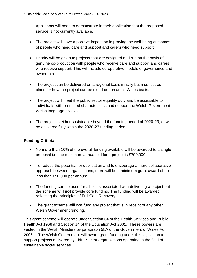Applicants will need to demonstrate in their application that the proposed service is not currently available.

- The project will have a positive impact on improving the well-being outcomes of people who need care and support and carers who need support.
- Priority will be given to projects that are designed and run on the basis of genuine co-production with people who receive care and support and carers who receive support. This will include co-operative models of governance and ownership.
- The project can be delivered on a regional basis initially but must set out plans for how the project can be rolled out on an all Wales basis.
- The project will meet the public sector equality duty and be accessible to individuals with protected characteristics and support the Welsh Government Welsh language policies.
- The project is either sustainable beyond the funding period of 2020-23, or will be delivered fully within the 2020-23 funding period.

# **Funding Criteria.**

- No more than 10% of the overall funding available will be awarded to a single proposal i.e. the maximum annual bid for a project is £700,000.
- To reduce the potential for duplication and to encourage a more collaborative approach between organisations, there will be a minimum grant award of no less than £50,000 per annum
- The funding can be used for all costs associated with delivering a project but the scheme **will not** provide core funding. The funding will be awarded reflecting the principles of Full Cost Recovery
- The grant scheme **will not** fund any project that is in receipt of any other Welsh Government funding.

This grant scheme will operate under Section 64 of the Health Services and Public Health Act 1968 and Section 14 of the Education Act 2002. These powers are vested in the Welsh Ministers by paragraph 58A of the Government of Wales Act 2006. The Welsh Government will award grant funding under this legislation to support projects delivered by Third Sector organisations operating in the field of sustainable social services.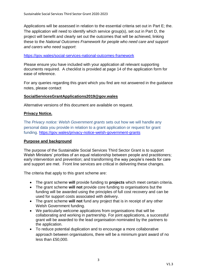Applications will be assessed in relation to the essential criteria set out in Part E; the. The application will need to identify which service group(s), set out in Part D, the project will benefit and clearly set out the outcomes that will be achieved, linking these to the *National Outcomes Framework for people who need care and support and carers who need support*:

#### <https://gov.wales/social-services-national-outcomes-framework>

Please ensure you have included with your application all relevant supporting documents required. A checklist is provided at page 14 of the application form for ease of reference.

For any queries regarding this grant which you find are not answered in the guidance notes, please contact

# **SocialServicesGrantApplications2019@gov.wales**

Alternative versions of this document are available on request.

# **Privacy Notice.**

The *Privacy notice: Welsh Government grants* sets out how we will handle any personal data you provide in relation to a grant application or request for grant funding. [https://gov.wales/privacy-notice-welsh-government-grants](https://eur01.safelinks.protection.outlook.com/?url=https%3A%2F%2Fgov.wales%2Fprivacy-notice-welsh-government-grants&data=02%7C01%7Cdeborah.marshall%40gov.wales%7Cc51c630171fa4f8de58008d6bf227991%7Ca2cc36c592804ae78887d06dab89216b%7C0%7C0%7C636906552124139875&sdata=r3Wt%2F9xKe3cWn1slVwjNflLbo7YWjE4DXDMnYAiavwU%3D&reserved=0)

#### **Purpose and background**

The purpose of the Sustainable Social Services Third Sector Grant is to support Welsh Ministers' priorities of an equal relationship between people and practitioners; early intervention and prevention; and transforming the way people's needs for care and support are met. Front line services are critical in delivering these changes.

The criteria that apply to this grant scheme are:

- The grant scheme **will** provide funding to **projects** which meet certain criteria.
- The grant scheme **will not** provide core funding to organisations but the funding will be awarded using the principles of full cost recovery and can be used for support costs associated with delivery.
- The grant scheme **will not** fund any project that is in receipt of any other Welsh Government funding.
- We particularly welcome applications from organisations that will be collaborating and working in partnership. For joint applications, a successful grant will be awarded to the lead organisation nominated by the partners to the application.
- To reduce potential duplication and to encourage a more collaborative approach between organisations, there will be a minimum grant award of no less than £50,000.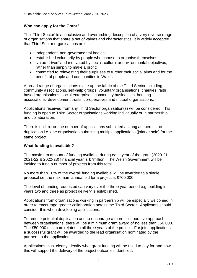# **Who can apply for the Grant?**

The 'Third Sector' is an inclusive and overarching description of a very diverse range of organisations that share a set of values and characteristics. It is widely accepted that Third Sector organisations are:

- independent, non-governmental bodies;
- established voluntarily by people who choose to organise themselves;
- 'value-driven' and motivated by social, cultural or environmental objectives, rather than simply to make a profit;
- committed to reinvesting their surpluses to further their social aims and for the benefit of people and communities in Wales.

A broad range of organisations make up the fabric of the Third Sector including community associations, self-help groups, voluntary organisations, charities, faith based organisations, social enterprises, community businesses, housing associations, development trusts, co-operatives and mutual organisations.

Applications received from any Third Sector organisation(s) will be considered. This funding is open to Third Sector organisations working individually or in partnership and collaboration.

There is no limit on the number of applications submitted as long as there is no duplication i.e. one organisation submitting multiple applications (joint or sole) for the same project.

# **What funding is available?**

The maximum amount of funding available during each year of the grant (2020-21, 2021-22 & 2022-23) financial year is £7million. The Welsh Government will be looking to fund a number of projects from this total.

No more than 10% of the overall funding available will be awarded to a single proposal i.e. the maximum annual bid for a project is £700,000

The level of funding requested can vary over the three year period e.g. building in years two and three as project delivery is established.

Applications from organisations working in partnership will be especially welcomed in order to encourage greater collaboration across the Third Sector. Applicants should consider this when developing applications.

To reduce potential duplication and to encourage a more collaborative approach between organisations, there will be a minimum grant award of no less than £50,000. The £50,000 minimum relates to all three years of the project. For joint applications, a successful grant will be awarded to the lead organisation nominated by the partners to the application.

Applications must clearly identify what grant funding will be used to pay for and how this will support the delivery of the project outcomes identified.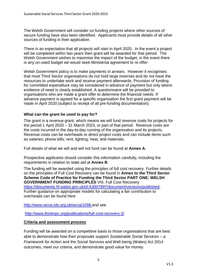The Welsh Government will consider co-funding projects where other sources of secure funding have also been identified. Applicants must provide details of all other sources of funding in their application.

There is an expectation that all projects will start in April 2020. In the event a project will be completed within two years then grant will be awarded for that period. The Welsh Government wishes to maximise the impact of the budget, in the event there is any un-used budget we would seek Ministerial agreement to re-offer.

Welsh Government policy is to make payments in arrears. However it recognises that most Third Sector organisations do not hold large reserves and do not have the resources to undertake work and receive payment afterwards. Provision of funding for committed expenditure may be considered in advance of payment but only where evidence of need is clearly established. A questionnaire will be provided to organisations who are made a grant offer to determine the financial needs. If advance payment is agreed for a specific organisation the first grant payment will be made in April 2020 (subject to receipt of all pre-funding documentation).

# **What can the grant be used to pay for?**

The grant is a revenue grant, which means we will fund revenue costs for projects for the period 1 April 2020 – 31 March 2023, or part of that period. Revenue costs are the costs incurred in the day-to-day running of the organisation and its projects. Revenue costs can be overheads or direct project costs and can include items such as salaries; phone bills; rent; lighting; heat; and materials.

Full details of what we will and will not fund can be found at **Annex A**.

Prospective applicants should consider this information carefully, including the requirements in relation to state aid at **Annex B**.

The funding will be awarded using the principles of full cost recovery. Further details on the principles of Full Cost Recovery can be found in **Annex to the Third Sector Scheme Code of Practice for Funding the Third Sector PART ONE: WELSH GOVERNMENT FUNDING PRINCIPLES** VIII. Full Cost Recovery [https://documents.hf.wales.gov.uk/id:A3007997/document/versions/published.](https://documents.hf.wales.gov.uk/id:A3007997/document/versions/published) Further guidance on appropriate models for calculating a fair contribution to overheads can be found here

<http://www.wcva-ids.org.uk/wcva/1096> and see

<http://www.thinknpc.org/publications/full-cost-recovery-2/>

#### **Criteria and assessment process**

Funding will be awarded on a competitive basis to those organisations that are best able to demonstrate how their proposals support *Sustainable Social Services – a Framework for Action* and the Social Services and Well-being (Wales) Act 2014 outcomes, meet our criteria, and demonstrate good value for money.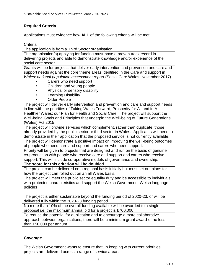# **Required Criteria**

Applications must evidence how **ALL** of the following criteria will be met.

| Criteria                                                                                |  |  |  |
|-----------------------------------------------------------------------------------------|--|--|--|
| The application is from a Third Sector organisation                                     |  |  |  |
| The organisation(s) applying for funding must have a proven track record in             |  |  |  |
| delivering projects and able to demonstrate knowledge and/or experience of the          |  |  |  |
| social care sector.                                                                     |  |  |  |
| Grants will be for projects that deliver early intervention and prevention and care and |  |  |  |
| support needs against the core theme areas identified in the Care and support in        |  |  |  |
| Wales: national population assessment report (Social Care Wales: November 2017)         |  |  |  |
| Carers who need support                                                                 |  |  |  |
| Children and young people                                                               |  |  |  |
| Physical or sensory disability                                                          |  |  |  |
| <b>Learning Disability</b>                                                              |  |  |  |
| <b>Older People</b>                                                                     |  |  |  |
| The project will deliver early intervention and prevention and care and support needs   |  |  |  |
| in line with the priorities of Taking Wales Forward, Prosperity for All and in A        |  |  |  |
| Healthier Wales: our Plan for Health and Social Care. The project will support the      |  |  |  |
| Well-being Goals and Principles that underpin the Well-being of Future Generations      |  |  |  |
| (Wales) Act 2015                                                                        |  |  |  |
| The project will provide services which complement, rather than duplicate, those        |  |  |  |
| already provided by the public sector or third sector in Wales. Applicants will need to |  |  |  |
| demonstrate in their application that the proposed service is not currently available.  |  |  |  |
| The project will demonstrate a positive impact on improving the well-being outcomes     |  |  |  |
| of people who need care and support and carers who need support.                        |  |  |  |
| Priority will be given to projects that are designed and run on the basis of genuine    |  |  |  |
| co-production with people who receive care and support and carers who receive           |  |  |  |
| support. This will include co-operative models of governance and ownership.             |  |  |  |
| The score for this criterion will be doubled                                            |  |  |  |
| The project can be delivered on a regional basis initially but must set out plans for   |  |  |  |
| how the project can rolled out on an all Wales basis.                                   |  |  |  |
| The project will meet the public sector equality duty and be accessible to individuals  |  |  |  |
| with protected characteristics and support the Welsh Government Welsh language          |  |  |  |
| policies                                                                                |  |  |  |
|                                                                                         |  |  |  |
| The project is either sustainable beyond the funding period of 2020-23, or will be      |  |  |  |
| delivered fully within the 2020-23 funding period.                                      |  |  |  |
| No more than 10% of the overall funding available will be awarded to a single           |  |  |  |
| proposal i.e. the maximum annual bid for a project is £700,000.                         |  |  |  |
| To reduce the potential for duplication and to encourage a more collaborative           |  |  |  |
| approach between organisations, there will be a minimum grant award of no less          |  |  |  |
| than £50,000 per annum                                                                  |  |  |  |

# **Coverage**

The Welsh Government wants to ensure that, in keeping with current priorities, projects are delivered across a range of service areas.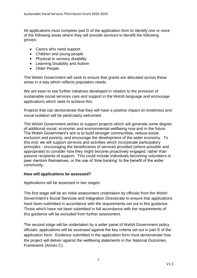All applications must complete part D of the application form to identify one or more of the following areas where they will provide services to benefit the following groups:

- Carers who need support
- Children and young people
- Physical or sensory disability
- Learning Disability and Autism
- Older People

The Welsh Government will seek to ensure that grants are allocated across these areas in a way which reflects population needs.

We are keen to see further initiatives developed in relation to the provision of sustainable social services care and support in the Welsh language and encourage applications which seek to achieve this.

Projects that can demonstrate that they will have a positive impact on loneliness and social isolation will be particularly welcomed.

The Welsh Government wishes to support projects which will generate some degree of additional social, economic and environmental wellbeing now and in the future. The Welsh Government's aim is to build stronger communities, reduce social exclusion and poverty, and encourage the development of the wider economy. To this end, we will support services and activities which incorporate participatory principles - encouraging the beneficiaries of services provided (where possible and appropriate) to consider how they might become proactively engaged, rather than passive recipients of support. This could include individuals becoming volunteers or peer mentors themselves, or the use of 'time banking' to the benefit of the wider community.

#### **How will applications be assessed?**

Applications will be assessed in two stages:

The first stage will be an initial assessment undertaken by officials from the Welsh Government's Social Services and Integration Directorate to ensure that applications have been submitted in accordance with the requirements set out in this guidance. Those which have not been submitted in full accordance with the requirements of this guidance will be excluded from further assessment.

The second stage will be undertaken by a wider panel of Welsh Government policy officials; applications will be assessed against the key criteria set out in part E of the application form. Evidence submitted in the application form must demonstrate how the project will deliver against the wellbeing statements in the National Outcomes Framework (Annex C).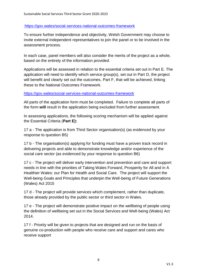# <https://gov.wales/social-services-national-outcomes-framework>

To ensure further independence and objectivity, Welsh Government may choose to invite external independent representatives to join the panel or to be involved in the assessment process.

In each case, panel members will also consider the merits of the project as a whole, based on the entirety of the information provided.

Applications will be assessed in relation to the essential criteria set out in Part E. The application will need to identify which service group(s), set out in Part D, the project will benefit and clearly set out the outcomes, Part F, that will be achieved, linking these to the National Outcomes Framework.

# <https://gov.wales/social-services-national-outcomes-framework>

All parts of the application form must be completed. Failure to complete all parts of the form **will** result in the application being excluded from further assessment.

In assessing applications, the following scoring mechanism will be applied against the Essential Criteria (**Part E):** 

17 a - The application is from Third Sector organisation(s) (as evidenced by your response to question B5)

17 b - The organisation(s) applying for funding must have a proven track record in delivering projects and able to demonstrate knowledge and/or experience of the social care sector (as evidenced by your response to question B6)

17 c - The project will deliver early intervention and prevention and care and support needs in line with the priorities of Taking Wales Forward, Prosperity for All and in A Healthier Wales: our Plan for Health and Social Care. The project will support the Well-being Goals and Principles that underpin the Well-being of Future Generations (Wales) Act 2015

17 d - The project will provide services which complement, rather than duplicate, those already provided by the public sector or third sector in Wales.

17 e - The project will demonstrate positive impact on the wellbeing of people using the definition of wellbeing set out in the Social Services and Well-being (Wales) Act 2014.

17 f - Priority will be given to projects that are designed and run on the basis of genuine co-production with people who receive care and support and cares who receive support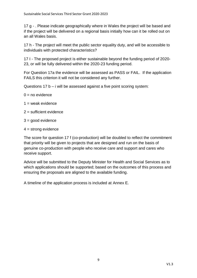17 g - . Please indicate geographically where in Wales the project will be based and if the project will be delivered on a regional basis initially how can it be rolled out on an all Wales basis.

17 h - The project will meet the public sector equality duty, and will be accessible to individuals with protected characteristics?

17 I - The proposed project is either sustainable beyond the funding period of 2020- 23, or will be fully delivered within the 2020-23 funding period.

For Question 17a the evidence will be assessed as PASS or FAIL. If the application FAILS this criterion it will not be considered any further.

Questions 17 b – i will be assessed against a five point scoring system:

- $0 = no$  evidence
- $1 =$  weak evidence
- $2$  = sufficient evidence
- $3 =$  good evidence
- $4 =$  strong evidence

The score for question 17 f (co-production) will be doubled to reflect the commitment that priority will be given to projects that are designed and run on the basis of genuine co-production with people who receive care and support and cares who receive support.

Advice will be submitted to the Deputy Minister for Health and Social Services as to which applications should be supported; based on the outcomes of this process and ensuring the proposals are aligned to the available funding.

A timeline of the application process is included at Annex E.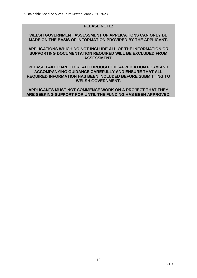# **PLEASE NOTE:**

**WELSH GOVERNMENT ASSESSMENT OF APPLICATIONS CAN ONLY BE MADE ON THE BASIS OF INFORMATION PROVIDED BY THE APPLICANT.**

**APPLICATIONS WHICH DO NOT INCLUDE ALL OF THE INFORMATION OR SUPPORTING DOCUMENTATION REQUIRED WILL BE EXCLUDED FROM ASSESSMENT.**

**PLEASE TAKE CARE TO READ THROUGH THE APPLICATION FORM AND ACCOMPANYING GUIDANCE CAREFULLY AND ENSURE THAT ALL REQUIRED INFORMATION HAS BEEN INCLUDED BEFORE SUBMITTING TO WELSH GOVERNMENT.**

**APPLICANTS MUST NOT COMMENCE WORK ON A PROJECT THAT THEY ARE SEEKING SUPPORT FOR UNTIL THE FUNDING HAS BEEN APPROVED.**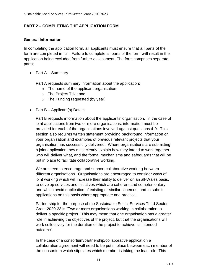# **PART 2 – COMPLETING THE APPLICATION FORM**

# **General Information**

In completing the application form, all applicants must ensure that **all** parts of the form are completed in full. Failure to complete all parts of the form **will** result in the application being excluded from further assessment. The form comprises separate parts;

• Part  $A -$  Summary

Part A requests summary information about the application:

- o The name of the applicant organisation;
- o The Project Title; and
- $\circ$  The Funding requested (by year)
- Part  $B -$  Applicant(s) Details

Part B requests information about the applicants' organisation. In the case of joint applications from two or more organisations, information must be provided for each of the organisations involved against questions 4-9. This section also requires written statement providing background information on your organisation and examples of previous relevant projects that your organisation has successfully delivered. Where organisations are submitting a joint application they must clearly explain how they intend to work together, who will deliver what, and the formal mechanisms and safeguards that will be put in place to facilitate collaborative working.

We are keen to encourage and support collaborative working between different organisations. Organisations are encouraged to consider ways of joint working which will increase their ability to deliver on an all-Wales basis, to develop services and initiatives which are coherent and complementary, and which avoid duplication of existing or similar schemes, and to submit applications on this basis where appropriate and practical.

Partnership for the purpose of the Sustainable Social Services Third Sector Grant 2020-23 is "Two or more organisations working in collaboration to deliver a specific project. This may mean that one organisation has a greater role in achieving the objectives of the project, but that the organisations will work collectively for the duration of the project to achieve its intended outcome".

In the case of a consortium/partnership/collaborative application a collaboration agreement will need to be put in place between each member of the consortium which stipulates which member is taking the lead role. This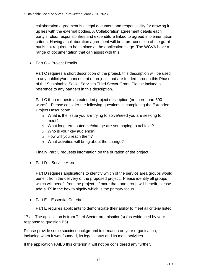collaboration agreement is a legal document and responsibility for drawing it up lies with the external bodies. A Collaboration agreement details each party's roles, responsibilities and expenditure linked to agreed implementation criteria. Having a collaboration agreement will be a pre-condition of the grant but is not required to be in place at the application stage. The WCVA have a range of documentation that can assist with this.

• Part C – Project Details

Part C requires a short description of the project, this description will be used in any publicity/announcement of projects that are funded through this Phase of the Sustainable Social Services Third Sector Grant. Please include a reference to any partners in this description.

Part C then requests an extended project description (no more than 500 words). Please consider the following questions in completing the Extended Project Description:

- o What is the issue you are trying to solve/need you are seeking to meet?
- o What long term outcome/change are you hoping to achieve?
- o Who is your key audience?
- o How will you reach them?
- o What activities will bring about the change?

Finally Part C requests information on the duration of the project.

• Part D – Service Area

Part D requires applications to identify which of the service area groups would benefit from the delivery of the proposed project. Please identify all groups which will benefit from the project. If more than one group will benefit, please add a "P" in the box to signify which is the primary focus.

• Part E – Essential Criteria

Part E requires applicants to demonstrate their ability to meet all criteria listed.

17 a - The application is from Third Sector organisation(s) (as evidenced by your response to question B5)

Please provide some succinct background information on your organisation, including when it was founded, its legal status and its main activities

If the application FAILS this criterion it will not be considered any further.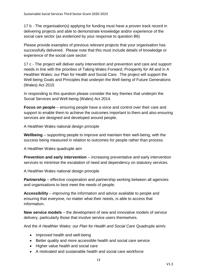17 b - The organisation(s) applying for funding must have a proven track record in delivering projects and able to demonstrate knowledge and/or experience of the social care sector (as evidenced by your response to question B6)

Please provide examples of previous relevant projects that your organisation has successfully delivered. Please note that this must include details of knowledge or experience of the social care sector:

17 c - The project will deliver early intervention and prevention and care and support needs in line with the priorities of Taking Wales Forward, Prosperity for All and in A Healthier Wales: our Plan for Health and Social Care. The project will support the Well-being Goals and Principles that underpin the Well-being of Future Generations (Wales) Act 2015

In responding to this question please consider the key themes that underpin the Social Services and Well-being (Wales) Act 2014.

**Focus on people** – ensuring people have a voice and control over their care and support to enable them to achieve the outcomes important to them and also ensuring services are designed and developed around people.

A Healthier Wales national design principle

**Wellbeing** – supporting people to improve and maintain their well-being, with the success being measured in relation to outcomes for people rather than process.

A Healthier Wales quadruple aim

**Prevention and early intervention** – increasing preventative and early intervention services to minimise the escalation of need and dependency on statutory services.

A Healthier Wales national design principle

**Partnership** – effective cooperation and partnership working between all agencies and organisations to best meet the needs of people.

**Accessibility** – improving the information and advice available to people and ensuring that everyone, no matter what their needs, is able to access that information.

**New service models** – the development of new and innovative models of service delivery, particularly those that involve service users themselves.

And the *A Healthier Wales: our Plan for Health and Social Care* Quadruple aim/s:

- Improved health and well-being
- Better quality and more accessible health and social care service
- Higher value health and social care
- A motivated and sustainable health and social care workforce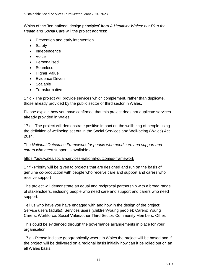Which of the 'ten national design principles' from *A Healthier Wales: our Plan for Health and Social Care* will the project address:

- Prevention and early intervention
- Safety
- Independence
- Voice
- Personalised
- Seamless
- Higher Value
- Evidence Driven
- Scalable
- Transformative

17 d - The project will provide services which complement, rather than duplicate, those already provided by the public sector or third sector in Wales.

Please explain how you have confirmed that this project does not duplicate services already provided in Wales.

17 e - The project will demonstrate positive impact on the wellbeing of people using the definition of wellbeing set out in the Social Services and Well-being (Wales) Act 2014.

The *National Outcomes Framework for people who need care and support and carers who need* support is available at

# <https://gov.wales/social-services-national-outcomes-framework>

17 f - Priority will be given to projects that are designed and run on the basis of genuine co-production with people who receive care and support and carers who receive support

The project will demonstrate an equal and reciprocal partnership with a broad range of stakeholders, including people who need care and support and carers who need support.

Tell us who have you have engaged with and how in the design of the project: Service users (adults); Services users (children/young people); Carers; Young Carers; Workforce; Social Value/other Third Sector; Community Members; Other.

This could be evidenced through the governance arrangements in place for your organisation.

17 g - Please indicate geographically where in Wales the project will be based and if the project will be delivered on a regional basis initially how can it be rolled out on an all Wales basis.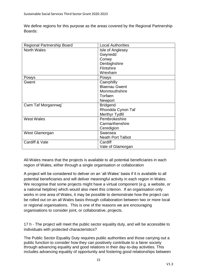We define regions for this purpose as the areas covered by the Regional Partnership Boards:

| Regional Partnership Board | <b>Local Authorities</b> |
|----------------------------|--------------------------|
| <b>North Wales</b>         | Isle of Anglesey         |
|                            | Gwynedd                  |
|                            | Conwy                    |
|                            | Denbighshire             |
|                            | Flintshire               |
|                            | Wrexham                  |
| Powys                      | Powys                    |
| Gwent                      | Caerphilly               |
|                            | <b>Blaenau Gwent</b>     |
|                            | Monmouthshire            |
|                            | Torfaen                  |
|                            | Newport                  |
| Cwm Taf Morgannwg`         | <b>Bridgend</b>          |
|                            | Rhondda Cynon Taf        |
|                            | <b>Merthyr Tydfil</b>    |
| <b>West Wales</b>          | Pembrokeshire            |
|                            | Carmarthenshire          |
|                            | Ceredigion               |
| West Glamorgan             | Swansea                  |
|                            | <b>Neath Port Talbot</b> |
| Cardiff & Vale             | Cardiff                  |
|                            | Vale of Glamorgan        |

All-Wales means that the projects is available to all potential beneficiaries in each region of Wales, either through a single organisation or collaboration

A project will be considered to deliver on an 'all-Wales' basis if it is available to all potential beneficiaries and will deliver meaningful activity in each region in Wales. We recognise that some projects might have a virtual component (e.g. a website, or a national helpline) which would also meet this criterion. If an organisation only works in one area of Wales, it may be possible to demonstrate how the project can be rolled out on an all Wales basis through collaboration between two or more local or regional organisations. This is one of the reasons we are encouraging organisations to consider joint, or collaborative, projects.

17 h - The project will meet the public sector equality duty, and will be accessible to individuals with protected characteristics?

The Public Sector Equality Duty requires public authorities and those carrying out a public function to consider how they can positively contribute to a fairer society through advancing equality and good relations in their day-to-day activities. This includes advancing equality of opportunity and fostering good relationships between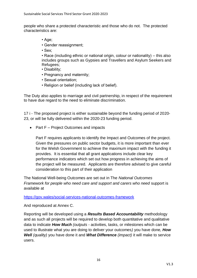people who share a protected characteristic and those who do not. The protected characteristics are:

- Age;
- Gender reassignment;
- Sex;

• Race (including ethnic or national origin, colour or nationality) – this also includes groups such as Gypsies and Travellers and Asylum Seekers and Refugees;

- Disability;
- Pregnancy and maternity;
- Sexual orientation;
- Religion or belief (including lack of belief).

The Duty also applies to marriage and civil partnership, in respect of the requirement to have due regard to the need to eliminate discrimination.

17 i - The proposed project is either sustainable beyond the funding period of 2020- 23, or will be fully delivered within the 2020-23 funding period.

• Part  $F$  – Project Outcomes and impacts

Part F requires applicants to identify the Impact and Outcomes of the project. Given the pressures on public sector budgets, it is more important than ever for the Welsh Government to achieve the maximum impact with the funding it provides. It is essential that all grant applications include clear key performance indicators which set out how progress in achieving the aims of the project will be measured. Applicants are therefore advised to give careful consideration to this part of their application

The National Well-being Outcomes are set out in The *National Outcomes Framework for people who need care and support and carers who need support is* available at

# <https://gov.wales/social-services-national-outcomes-framework>

And reproduced at Annex C.

Reporting will be developed using a *Results Based Accountability* methodology and as such all projects will be required to develop both quantitative and qualitative data to indicate *How Much (outputs -* activities, tasks, or milestones which can be used to illustrate what you are doing to deliver your outcomes*)* you have done*, How Well (quality)* you have done it and *What Difference (impact)* it will make to service users.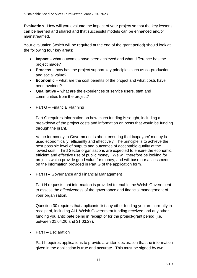**Evaluation**. How will you evaluate the impact of your project so that the key lessons can be learned and shared and that successful models can be enhanced and/or mainstreamed.

Your evaluation (which will be required at the end of the grant period) should look at the following four key areas:

- **Impact** what outcomes have been achieved and what difference has the project made?
- **Process** how has the project support key principles such as co-production and social value?
- **Economic** what are the cost benefits of the project and what costs have been avoided?
- **Qualitative** what are the experiences of service users, staff and communities from the project?
- Part G Financial Planning

Part G requires information on how much funding is sought, including a breakdown of the project costs and information on posts that would be funding through the grant.

Value for money in Government is about ensuring that taxpayers' money is used economically, efficiently and effectively. The principle is to achieve the best possible level of outputs and outcomes of acceptable quality at the lowest cost. Third Sector organisations are expected to ensure the economic, efficient and effective use of public money. We will therefore be looking for projects which provide good value for money, and will base our assessment on the information provided in Part G of the application form.

• Part H – Governance and Financial Management

Part H requests that information is provided to enable the Welsh Government to assess the effectiveness of the governance and financial management of your organisation.

Question 30 requires that applicants list any other funding you are currently in receipt of, including ALL Welsh Government funding received and any other funding you anticipate being in receipt of for the project/grant period (i.e. between 01.04.20 and 31.03.23).

• Part I – Declaration

Part I requires applications to provide a written declaration that the information given in the application is true and accurate. This must be signed by two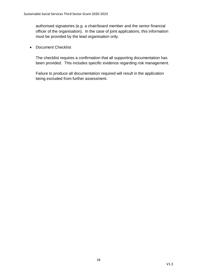authorised signatories (e.g. a chair/board member and the senior financial officer of the organisation). In the case of joint applications, this information must be provided by the lead organisation only.

• Document Checklist

The checklist requires a confirmation that all supporting documentation has been provided. This includes specific evidence regarding risk management.

Failure to produce all documentation required will result in the application being excluded from further assessment.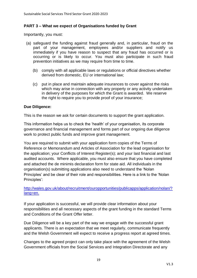# **PART 3 – What we expect of Organisations funded by Grant**

Importantly, you must:

- (a) safeguard the funding against fraud generally and, in particular, fraud on the part of your management, employees and/or suppliers and notify us immediately if you have reason to suspect that any fraud has occurred or is occurring or is likely to occur. You must also participate in such fraud prevention initiatives as we may require from time to time.
	- (b) comply with all applicable laws or regulations or official directives whether derived from domestic, EU or international law;
	- (c) put in place and maintain adequate insurances to cover against the risks which may arise in connection with any property or any activity undertaken in delivery of the purposes for which the Grant is awarded. We reserve the right to require you to provide proof of your insurance;

# **Due Diligence:**

This is the reason we ask for certain documents to support the grant application.

This information helps us to check the 'health' of your organisation, its corporate governance and financial management and forms part of our ongoing due diligence work to protect public funds and improve grant management.

You are required to submit with your application form copies of the Terms of Reference or Memorandum and Articles of Association for the lead organisation for the application; your Conflicts of Interest Register(s); and your last financial and last audited accounts. Where applicable, you must also ensure that you have completed and attached the de minimis declaration form for state aid. All individuals in the organisation(s) submitting applications also need to understand the 'Nolan Principles' and be clear of their role and responsibilities. Here is a link to the 'Nolan Principles':

# [http://wales.gov.uk/about/recruitment/ouropportunities/publicapps/application/nolan/?](http://wales.gov.uk/about/recruitment/ouropportunities/publicapps/application/nolan/?lang=en) [lang=en.](http://wales.gov.uk/about/recruitment/ouropportunities/publicapps/application/nolan/?lang=en)

If your application is successful, we will provide clear information about your responsibilities and all necessary aspects of the grant funding in the standard Terms and Conditions of the Grant Offer letter.

Due Diligence will be a key part of the way we engage with the successful grant applicants. There is an expectation that we meet regularly, communicate frequently and the Welsh Government will expect to receive a progress report at agreed times.

Changes to the agreed project can only take place with the agreement of the Welsh Government officials from the Social Services and Integration Directorate and any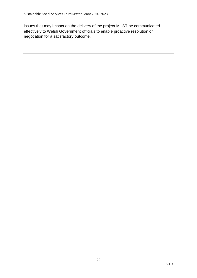issues that may impact on the delivery of the project MUST be communicated effectively to Welsh Government officials to enable proactive resolution or negotiation for a satisfactory outcome.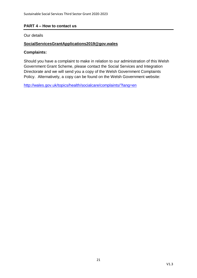# **PART 4 – How to contact us**

Our details

# **SocialServicesGrantApplications2019@gov.wales**

# **Complaints:**

Should you have a complaint to make in relation to our administration of this Welsh Government Grant Scheme, please contact the Social Services and Integration Directorate and we will send you a copy of the Welsh Government Complaints Policy. Alternatively, a copy can be found on the Welsh Government website:

<http://wales.gov.uk/topics/health/socialcare/complaints/?lang=en>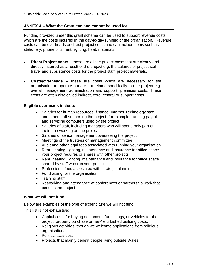# **ANNEX A – What the Grant can and cannot be used for**

Funding provided under this grant scheme can be used to support revenue costs, which are the costs incurred in the day-to-day running of the organisation. Revenue costs can be overheads or direct project costs and can include items such as stationery; phone bills; rent; lighting; heat; materials.

- **Direct Project costs** these are all the project costs that are clearly and directly incurred as a result of the project e.g. the salaries of project staff, travel and subsistence costs for the project staff; project materials.
- **Costs/overheads** these are costs which are necessary for the organisation to operate but are not related specifically to one project e.g. overall management administration and support, premises costs. These costs are often also called indirect, core, central or support costs.

# **Eligible overheads include:**

- Salaries for human resources, finance, Internet Technology staff and other staff supporting the project (for example, running payroll and servicing computers used by the project)
- Salaries of staff, including managers who will spend only part of their time working on the project
- Salaries of senior management overseeing the project
- Meetings of the trustees or management committee
- Audit and other legal fees associated with running your organisation
- Rent, heating, lighting, maintenance and insurance for office space your project requires or shares with other projects
- Rent, heating, lighting, maintenance and insurance for office space shared by staff who run your project
- Professional fees associated with strategic planning
- Fundraising for the organisation
- Training staff
- Networking and attendance at conferences or partnership work that benefits the project

#### **What we will not fund**

Below are examples of the type of expenditure we will not fund.

This list is not exhaustive:

- Capital costs for buying equipment, furnishings, or vehicles for the project, property purchase or new/refurbished building costs;
- Religious activities, though we welcome applications from religious organisations;
- Political activities;
- Projects that mainly benefit people living outside Wales;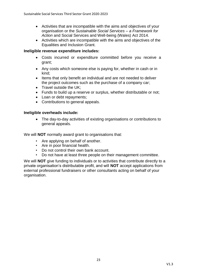- Activities that are incompatible with the aims and objectives of your organisation or the *Sustainable Social Services – a Framework for Action* and Social Services and Well-being (Wales) Act 2014.
- Activities which are incompatible with the aims and objectives of the Equalities and Inclusion Grant.

# **Ineligible revenue expenditure includes:**

- Costs incurred or expenditure committed before you receive a grant;
- Any costs which someone else is paying for, whether in cash or in kind;
- Items that only benefit an individual and are not needed to deliver the project outcomes such as the purchase of a company car;
- $\bullet$  Travel outside the UK;
- Funds to build up a reserve or surplus, whether distributable or not;
- Loan or debt repayments;
- Contributions to general appeals.

# **Ineligible overheads include:**

 The day-to-day activities of existing organisations or contributions to general appeals.

We will **NOT** normally award grant to organisations that:

- Are applying on behalf of another.
- Are in poor financial health.
- Do not control their own bank account.
- Do not have at least three people on their management committee.

We will **NOT** give funding to individuals or to activities that contribute directly to a private organisation's distributable profit, and will **NOT** accept applications from external professional fundraisers or other consultants acting on behalf of your organisation.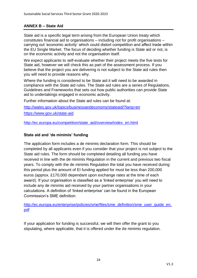# **ANNEX B – State Aid**

State aid is a specific legal term arising from the European Union treaty which constitutes financial aid to organisations – including not for profit organisations – carrying out 'economic activity' which could distort competition and affect trade within the EU Single Market. The focus of deciding whether funding is State aid or not, is on the economic activity and not the organisation itself.

We expect applicants to self-evaluate whether their project meets the five tests for State aid, however we will check this as part of the assessment process. If you believe that the project you are delivering is not subject to the State aid rules then you will need to provide reasons why.

Where the funding is considered to be State aid it will need to be awarded in compliance with the State aid rules. The State aid rules are a series of Regulations, Guidelines and Frameworks that sets out how public authorities can provide State aid to undertakings engaged in economic activity.

Further information about the State aid rules can be found at:

<http://wales.gov.uk/topics/businessandeconomy/stateaid/?lang=en> <https://www.gov.uk/state-aid>

[http://ec.europa.eu/competition/state\\_aid/overview/index\\_en.html](http://ec.europa.eu/competition/state_aid/overview/index_en.html)

# **State aid and 'de minimis' funding**

The application form includes a de minimis declaration form. This should be completed by all applicants even if you consider that your project is not subject to the State aid rules. The form should be completed detailing all funding you have received in line with the de minimis Regulation in the current and previous two fiscal years. To comply with the de minimis Regulation the total you have received during this period plus the amount of EI funding applied for must be less than 200,000 euros (approx. £170,000 dependant upon exchange rates at the time of each award). If your organisation is classified as a 'linked enterprise' you will need to include any de minimis aid received by your partner organisations in your calculations. A definition of 'linked enterprise' can be found in the European Commission's SME definition:

[http://ec.europa.eu/enterprise/policies/sme/files/sme\\_definition/sme\\_user\\_guide\\_en.](http://ec.europa.eu/enterprise/policies/sme/files/sme_definition/sme_user_guide_en.pdf) [pdf](http://ec.europa.eu/enterprise/policies/sme/files/sme_definition/sme_user_guide_en.pdf)

If your application for funding is successful, we will then offer the grant to you stipulating, where applicable, that it is offered under the de minimis regulation.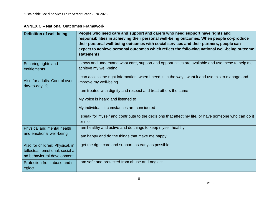| <b>ANNEX C - National Outcomes Framework</b>                  |                                                                                                                                                                                                                                                                                                                                                                                        |  |
|---------------------------------------------------------------|----------------------------------------------------------------------------------------------------------------------------------------------------------------------------------------------------------------------------------------------------------------------------------------------------------------------------------------------------------------------------------------|--|
| <b>Definition of well-being</b>                               | People who need care and support and carers who need support have rights and<br>responsibilities in achieving their personal well-being outcomes. When people co-produce<br>their personal well-being outcomes with social services and their partners, people can<br>expect to achieve personal outcomes which reflect the following national well-being outcome<br><b>statements</b> |  |
| Securing rights and<br>entitlements                           | I know and understand what care, support and opportunities are available and use these to help me<br>achieve my well-being                                                                                                                                                                                                                                                             |  |
| Also for adults: Control over<br>day-to-day life              | I can access the right information, when I need it, in the way I want it and use this to manage and<br>improve my well-being                                                                                                                                                                                                                                                           |  |
|                                                               | I am treated with dignity and respect and treat others the same                                                                                                                                                                                                                                                                                                                        |  |
|                                                               | My voice is heard and listened to                                                                                                                                                                                                                                                                                                                                                      |  |
|                                                               | My individual circumstances are considered                                                                                                                                                                                                                                                                                                                                             |  |
|                                                               | I speak for myself and contribute to the decisions that affect my life, or have someone who can do it<br>for me                                                                                                                                                                                                                                                                        |  |
| Physical and mental health                                    | am healthy and active and do things to keep myself healthy                                                                                                                                                                                                                                                                                                                             |  |
| and emotional well-being                                      | I am happy and do the things that make me happy                                                                                                                                                                                                                                                                                                                                        |  |
| Also for children: Physical, in                               | get the right care and support, as early as possible                                                                                                                                                                                                                                                                                                                                   |  |
| tellectual, emotional, social a<br>nd behavioural development |                                                                                                                                                                                                                                                                                                                                                                                        |  |
| Protection from abuse and n<br>eglect                         | I am safe and protected from abuse and neglect                                                                                                                                                                                                                                                                                                                                         |  |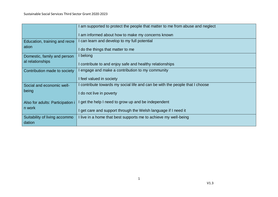|                                        | am supported to protect the people that matter to me from abuse and neglect |
|----------------------------------------|-----------------------------------------------------------------------------|
|                                        | am informed about how to make my concerns known                             |
| Education, training and recre<br>ation | can learn and develop to my full potential                                  |
|                                        | do the things that matter to me                                             |
| Domestic, family and person            | belong                                                                      |
| al relationships                       | contribute to and enjoy safe and healthy relationships                      |
| Contribution made to society           | engage and make a contribution to my community                              |
|                                        | I feel valued in society                                                    |
| Social and economic well-              | contribute towards my social life and can be with the people that I choose  |
| being                                  | I do not live in poverty                                                    |
| Also for adults: Participation i       | get the help I need to grow up and be independent                           |
| n work                                 | get care and support through the Welsh language if I need it                |
| Suitability of living accommo          | I live in a home that best supports me to achieve my well-being             |
| dation                                 |                                                                             |